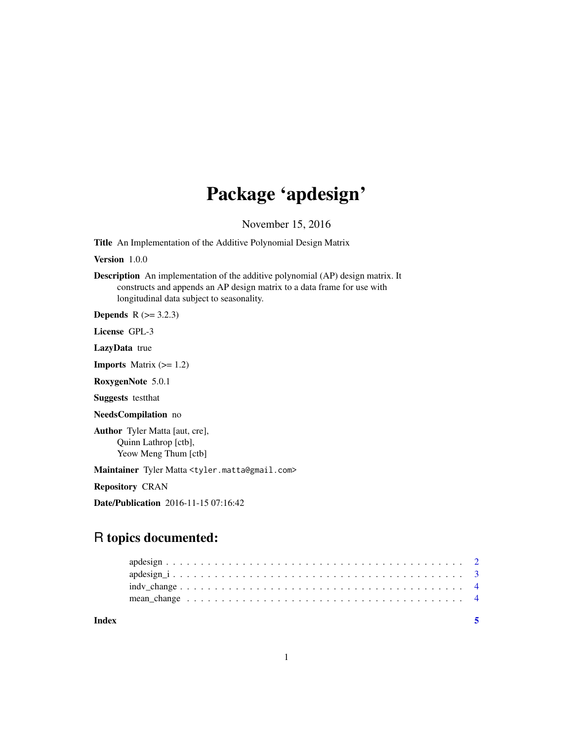## Package 'apdesign'

November 15, 2016

Title An Implementation of the Additive Polynomial Design Matrix

Version 1.0.0

Description An implementation of the additive polynomial (AP) design matrix. It constructs and appends an AP design matrix to a data frame for use with longitudinal data subject to seasonality.

**Depends**  $R$  ( $>= 3.2.3$ )

License GPL-3

LazyData true

**Imports** Matrix  $(>= 1.2)$ 

RoxygenNote 5.0.1

Suggests testthat

NeedsCompilation no

Author Tyler Matta [aut, cre], Quinn Lathrop [ctb], Yeow Meng Thum [ctb]

Maintainer Tyler Matta <tyler.matta@gmail.com>

Repository CRAN

Date/Publication 2016-11-15 07:16:42

## R topics documented:

**Index** [5](#page-4-0). The second state of the second state of the second state of the second state of the second state of the second state of the second state of the second state of the second state of the second state of the second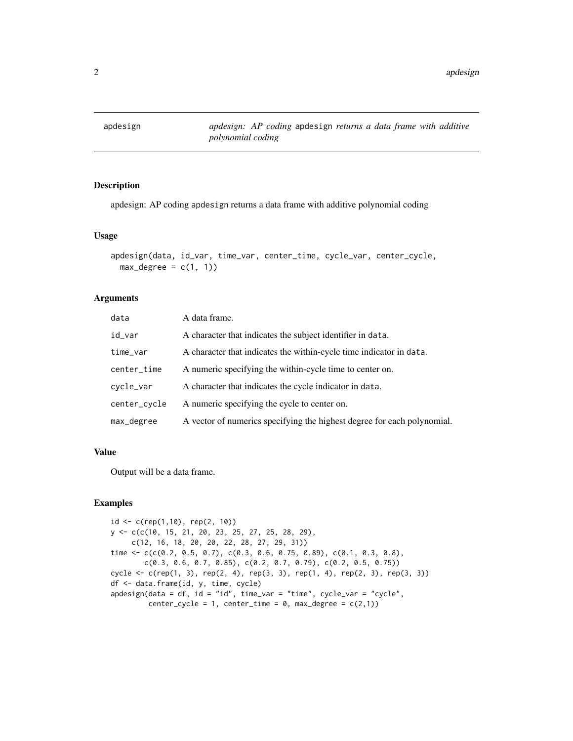<span id="page-1-0"></span>apdesign *apdesign: AP coding* apdesign *returns a data frame with additive polynomial coding*

## Description

apdesign: AP coding apdesign returns a data frame with additive polynomial coding

## Usage

```
apdesign(data, id_var, time_var, center_time, cycle_var, center_cycle,
 max\_degree = c(1, 1)
```
## Arguments

| data         | A data frame.                                                           |
|--------------|-------------------------------------------------------------------------|
| id_var       | A character that indicates the subject identifier in data.              |
| time_var     | A character that indicates the within-cycle time indicator in data.     |
| center_time  | A numeric specifying the within-cycle time to center on.                |
| cycle_var    | A character that indicates the cycle indicator in data.                 |
| center_cycle | A numeric specifying the cycle to center on.                            |
| max_degree   | A vector of numerics specifying the highest degree for each polynomial. |

## Value

Output will be a data frame.

## Examples

```
id <- c(rep(1,10), rep(2, 10))
y <- c(c(10, 15, 21, 20, 23, 25, 27, 25, 28, 29),
     c(12, 16, 18, 20, 20, 22, 28, 27, 29, 31))
time \leq c(c(0.2, 0.5, 0.7), c(0.3, 0.6, 0.75, 0.89), c(0.1, 0.3, 0.8),
       c(0.3, 0.6, 0.7, 0.85), c(0.2, 0.7, 0.79), c(0.2, 0.5, 0.75))
cycle <- c(rep(1, 3), rep(2, 4), rep(3, 3), rep(1, 4), rep(2, 3), rep(3, 3))
df <- data.frame(id, y, time, cycle)
apdesign(data = df, id = "id", time_var = "time", cycle_var = "cycle",
        center_cycle = 1, center_time = 0, max_degree = c(2,1))
```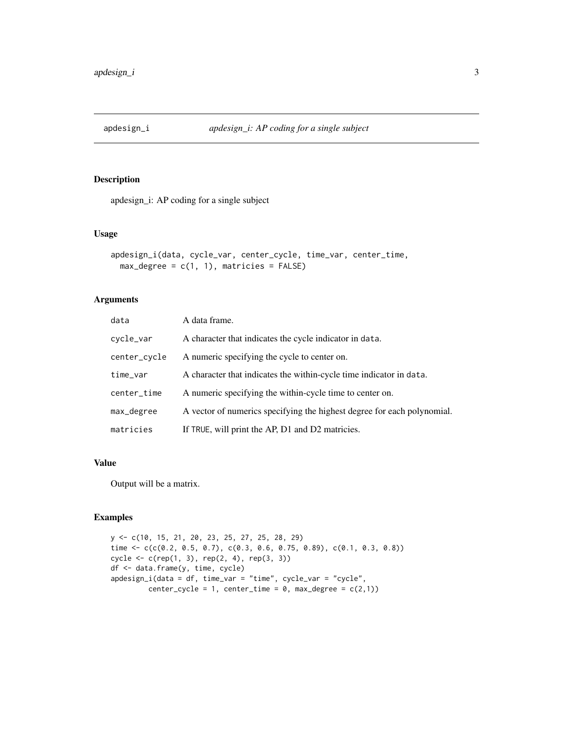<span id="page-2-0"></span>

## Description

apdesign\_i: AP coding for a single subject

## Usage

```
apdesign_i(data, cycle_var, center_cycle, time_var, center_time,
 max\_degree = c(1, 1), matricies = FALSE)
```
## Arguments

| data         | A data frame.                                                           |
|--------------|-------------------------------------------------------------------------|
| cycle_var    | A character that indicates the cycle indicator in data.                 |
| center_cycle | A numeric specifying the cycle to center on.                            |
| time_var     | A character that indicates the within-cycle time indicator in data.     |
| center_time  | A numeric specifying the within-cycle time to center on.                |
| max_degree   | A vector of numerics specifying the highest degree for each polynomial. |
| matricies    | If TRUE, will print the AP, D1 and D2 matricies.                        |

## Value

Output will be a matrix.

## Examples

```
y <- c(10, 15, 21, 20, 23, 25, 27, 25, 28, 29)
time \leq c(c(0.2, 0.5, 0.7), c(0.3, 0.6, 0.75, 0.89), c(0.1, 0.3, 0.8))
cycle <- c(rep(1, 3), rep(2, 4), rep(3, 3))
df <- data.frame(y, time, cycle)
apdesign_i(data = df, time_var = "time", cycle_var = "cycle",
         center_cycle = 1, center_time = 0, max_degree = c(2,1))
```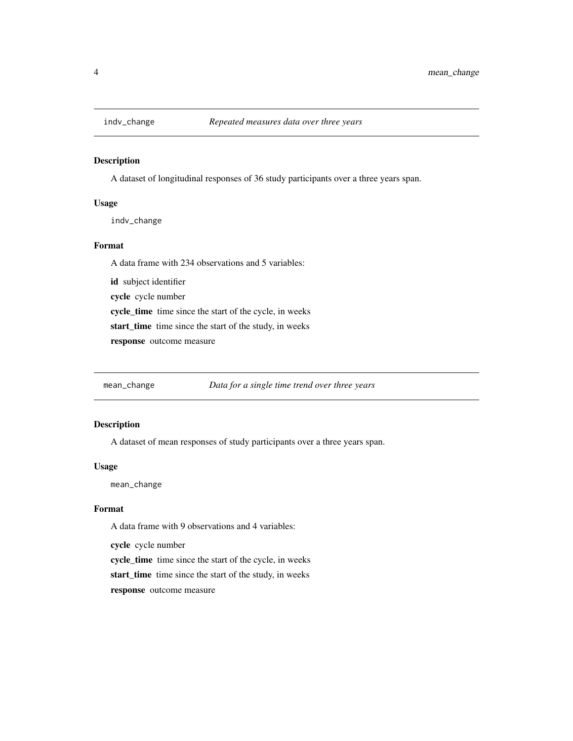<span id="page-3-0"></span>

## Description

A dataset of longitudinal responses of 36 study participants over a three years span.

## Usage

indv\_change

## Format

A data frame with 234 observations and 5 variables:

id subject identifier

cycle cycle number

cycle\_time time since the start of the cycle, in weeks

start\_time time since the start of the study, in weeks

response outcome measure

mean\_change *Data for a single time trend over three years*

## Description

A dataset of mean responses of study participants over a three years span.

## Usage

mean\_change

## Format

A data frame with 9 observations and 4 variables:

cycle cycle number

cycle\_time time since the start of the cycle, in weeks

start\_time time since the start of the study, in weeks

response outcome measure